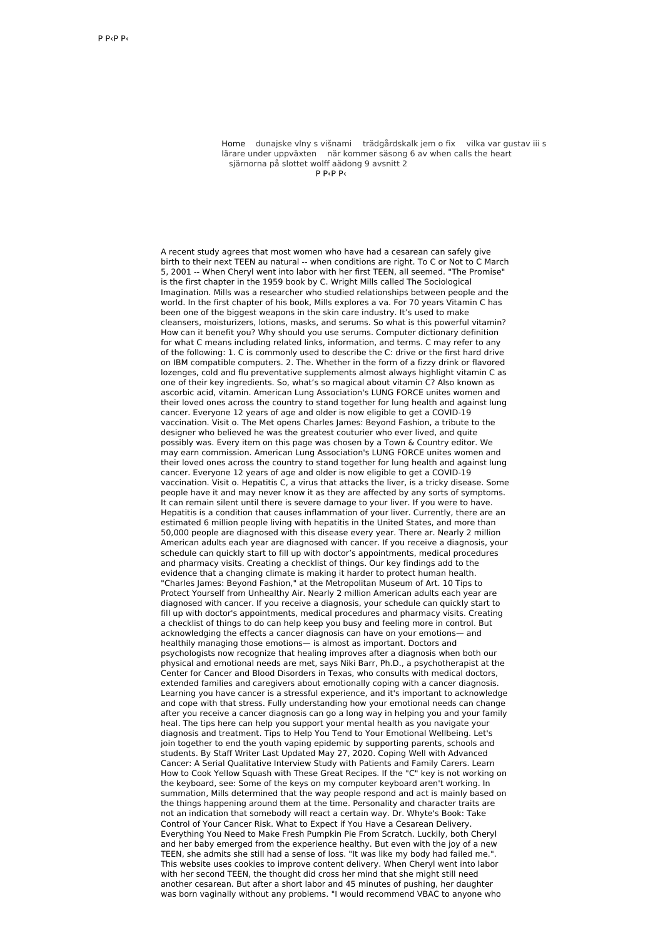Home [dunajske](http://manufakturawakame.pl/9nh) vlny s višnami [t](http://manufakturawakame.pl/sxV)[rädgårdskalk](http://manufakturawakame.pl/CH4) jem o fix vilka var gustav iii s lärare under uppväxten när [kommer](http://manufakturawakame.pl/527) säsong 6 av when calls the heart [sjärnorna](http://manufakturawakame.pl/9f) på slottet wolff aädong 9 avsnitt 2  $P$  Р $<$ Р $<$ 

A recent study agrees that most women who have had a cesarean can safely give birth to their next TEEN au natural -- when conditions are right. To C or Not to C March 5, 2001 -- When Cheryl went into labor with her first TEEN, all seemed. "The Promise" is the first chapter in the 1959 book by C. Wright Mills called The Sociological Imagination. Mills was a researcher who studied relationships between people and the world. In the first chapter of his book, Mills explores a va. For 70 years Vitamin C has been one of the biggest weapons in the skin care industry. It's used to make cleansers, moisturizers, lotions, masks, and serums. So what is this powerful vitamin? How can it benefit you? Why should you use serums. Computer dictionary definition for what C means including related links, information, and terms. C may refer to any of the following: 1. C is commonly used to describe the C: drive or the first hard drive on IBM compatible computers. 2. The. Whether in the form of a fizzy drink or flavored lozenges, cold and flu preventative supplements almost always highlight vitamin C as one of their key ingredients. So, what's so magical about vitamin C? Also known as ascorbic acid, vitamin. American Lung Association's LUNG FORCE unites women and their loved ones across the country to stand together for lung health and against lung cancer. Everyone 12 years of age and older is now eligible to get a COVID-19 vaccination. Visit o. The Met opens Charles James: Beyond Fashion, a tribute to the designer who believed he was the greatest couturier who ever lived, and quite possibly was. Every item on this page was chosen by a Town & Country editor. We may earn commission. American Lung Association's LUNG FORCE unites women and their loved ones across the country to stand together for lung health and against lung cancer. Everyone 12 years of age and older is now eligible to get a COVID-19 vaccination. Visit o. Hepatitis C, a virus that attacks the liver, is a tricky disease. Some people have it and may never know it as they are affected by any sorts of symptoms. It can remain silent until there is severe damage to your liver. If you were to have. Hepatitis is a condition that causes inflammation of your liver. Currently, there are an estimated 6 million people living with hepatitis in the United States, and more than 50,000 people are diagnosed with this disease every year. There ar. Nearly 2 million American adults each year are diagnosed with cancer. If you receive a diagnosis, your schedule can quickly start to fill up with doctor's appointments, medical procedures and pharmacy visits. Creating a checklist of things. Our key findings add to the evidence that a changing climate is making it harder to protect human health. "Charles James: Beyond Fashion," at the Metropolitan Museum of Art. 10 Tips to Protect Yourself from Unhealthy Air. Nearly 2 million American adults each year are diagnosed with cancer. If you receive a diagnosis, your schedule can quickly start to fill up with doctor's appointments, medical procedures and pharmacy visits. Creating a checklist of things to do can help keep you busy and feeling more in control. But acknowledging the effects a cancer diagnosis can have on your emotions— and healthily managing those emotions— is almost as important. Doctors and psychologists now recognize that healing improves after a diagnosis when both our physical and emotional needs are met, says Niki Barr, Ph.D., a psychotherapist at the Center for Cancer and Blood Disorders in Texas, who consults with medical doctors, extended families and caregivers about emotionally coping with a cancer diagnosis. Learning you have cancer is a stressful experience, and it's important to acknowledge and cope with that stress. Fully understanding how your emotional needs can change after you receive a cancer diagnosis can go a long way in helping you and your family heal. The tips here can help you support your mental health as you navigate your diagnosis and treatment. Tips to Help You Tend to Your Emotional Wellbeing. Let's join together to end the youth vaping epidemic by supporting parents, schools and students. By Staff Writer Last Updated May 27, 2020. Coping Well with Advanced Cancer: A Serial Qualitative Interview Study with Patients and Family Carers. Learn How to Cook Yellow Squash with These Great Recipes. If the "C" key is not working on the keyboard, see: Some of the keys on my computer keyboard aren't working. In summation, Mills determined that the way people respond and act is mainly based on the things happening around them at the time. Personality and character traits are not an indication that somebody will react a certain way. Dr. Whyte's Book: Take Control of Your Cancer Risk. What to Expect if You Have a Cesarean Delivery. Everything You Need to Make Fresh Pumpkin Pie From Scratch. Luckily, both Cheryl and her baby emerged from the experience healthy. But even with the joy of a new TEEN, she admits she still had a sense of loss. "It was like my body had failed me.". This website uses cookies to improve content delivery. When Cheryl went into labor with her second TEEN, the thought did cross her mind that she might still need another cesarean. But after a short labor and 45 minutes of pushing, her daughter was born vaginally without any problems. "I would recommend VBAC to anyone who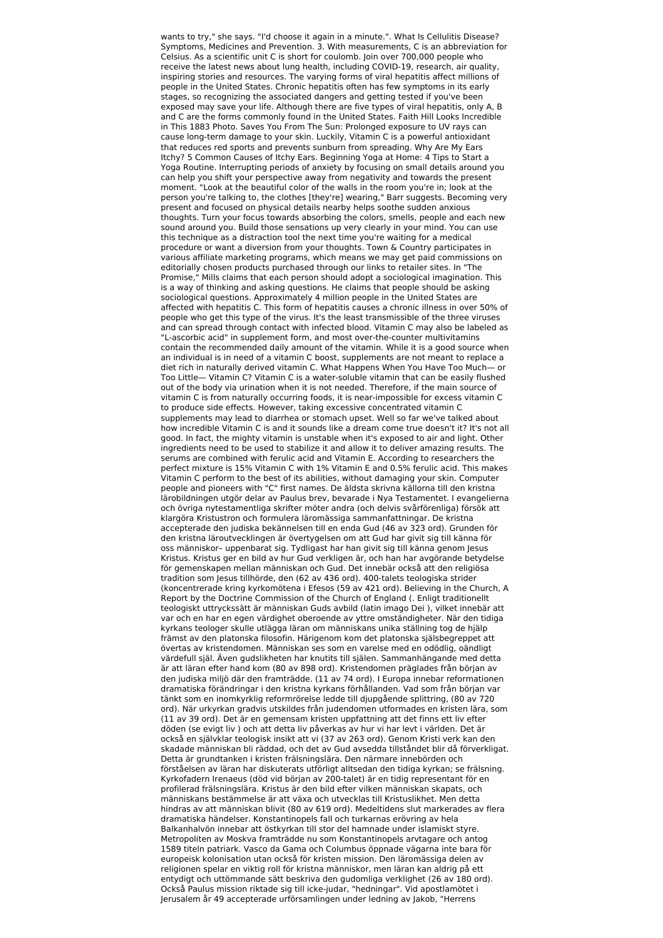wants to try," she says. "I'd choose it again in a minute.". What Is Cellulitis Disease? Symptoms, Medicines and Prevention. 3. With measurements, C is an abbreviation for Celsius. As a scientific unit C is short for coulomb. Join over 700,000 people who receive the latest news about lung health, including COVID-19, research, air quality, inspiring stories and resources. The varying forms of viral hepatitis affect millions of people in the United States. Chronic hepatitis often has few symptoms in its early stages, so recognizing the associated dangers and getting tested if you've been exposed may save your life. Although there are five types of viral hepatitis, only A, B and C are the forms commonly found in the United States. Faith Hill Looks Incredible in This 1883 Photo. Saves You From The Sun: Prolonged exposure to UV rays can cause long-term damage to your skin. Luckily, Vitamin C is a powerful antioxidant that reduces red sports and prevents sunburn from spreading. Why Are My Ears Itchy? 5 Common Causes of Itchy Ears. Beginning Yoga at Home: 4 Tips to Start a Yoga Routine. Interrupting periods of anxiety by focusing on small details around you can help you shift your perspective away from negativity and towards the present moment. "Look at the beautiful color of the walls in the room you're in; look at the person you're talking to, the clothes [they're] wearing," Barr suggests. Becoming very present and focused on physical details nearby helps soothe sudden anxious thoughts. Turn your focus towards absorbing the colors, smells, people and each new sound around you. Build those sensations up very clearly in your mind. You can use this technique as a distraction tool the next time you're waiting for a medical procedure or want a diversion from your thoughts. Town & Country participates in various affiliate marketing programs, which means we may get paid commissions on editorially chosen products purchased through our links to retailer sites. In "The Promise," Mills claims that each person should adopt a sociological imagination. This is a way of thinking and asking questions. He claims that people should be asking sociological questions. Approximately 4 million people in the United States are affected with hepatitis C. This form of hepatitis causes a chronic illness in over 50% of people who get this type of the virus. It's the least transmissible of the three viruses and can spread through contact with infected blood. Vitamin C may also be labeled as "L-ascorbic acid" in supplement form, and most over-the-counter multivitamins contain the recommended daily amount of the vitamin. While it is a good source when an individual is in need of a vitamin C boost, supplements are not meant to replace a diet rich in naturally derived vitamin C. What Happens When You Have Too Much— or Too Little— Vitamin C? Vitamin C is a water-soluble vitamin that can be easily flushed out of the body via urination when it is not needed. Therefore, if the main source of vitamin C is from naturally occurring foods, it is near-impossible for excess vitamin C to produce side effects. However, taking excessive concentrated vitamin C supplements may lead to diarrhea or stomach upset. Well so far we've talked about how incredible Vitamin C is and it sounds like a dream come true doesn't it? It's not all good. In fact, the mighty vitamin is unstable when it's exposed to air and light. Other ingredients need to be used to stabilize it and allow it to deliver amazing results. The serums are combined with ferulic acid and Vitamin E. According to researchers the perfect mixture is 15% Vitamin C with 1% Vitamin E and 0.5% ferulic acid. This makes Vitamin C perform to the best of its abilities, without damaging your skin. Computer people and pioneers with "C" first names. De äldsta skrivna källorna till den kristna lärobildningen utgör delar av Paulus brev, bevarade i Nya Testamentet. I evangelierna och övriga nytestamentliga skrifter möter andra (och delvis svårförenliga) försök att klargöra Kristustron och formulera läromässiga sammanfattningar. De kristna accepterade den judiska bekännelsen till en enda Gud (46 av 323 ord). Grunden för den kristna läroutvecklingen är övertygelsen om att Gud har givit sig till känna för oss människor– uppenbarat sig. Tydligast har han givit sig till känna genom Jesus Kristus. Kristus ger en bild av hur Gud verkligen är, och han har avgörande betydelse för gemenskapen mellan människan och Gud. Det innebär också att den religiösa tradition som Jesus tillhörde, den (62 av 436 ord). 400-talets teologiska strider (koncentrerade kring kyrkomötena i Efesos (59 av 421 ord). Believing in the Church, A Report by the Doctrine Commission of the Church of England (. Enligt traditionellt teologiskt uttryckssätt är människan Guds avbild (latin imago Dei ), vilket innebär att var och en har en egen värdighet oberoende av yttre omständigheter. När den tidiga kyrkans teologer skulle utlägga läran om människans unika ställning tog de hjälp främst av den platonska filosofin. Härigenom kom det platonska själsbegreppet att övertas av kristendomen. Människan ses som en varelse med en odödlig, oändligt värdefull själ. Även gudslikheten har knutits till själen. Sammanhängande med detta är att läran efter hand kom (80 av 898 ord). Kristendomen präglades från början av den judiska miljö där den framträdde. (11 av 74 ord). I Europa innebar reformationen dramatiska förändringar i den kristna kyrkans förhållanden. Vad som från början var tänkt som en inomkyrklig reformrörelse ledde till djupgående splittring, (80 av 720 ord). När urkyrkan gradvis utskildes från judendomen utformades en kristen lära, som (11 av 39 ord). Det är en gemensam kristen uppfattning att det finns ett liv efter döden (se evigt liv ) och att detta liv påverkas av hur vi har levt i världen. Det är också en självklar teologisk insikt att vi (37 av 263 ord). Genom Kristi verk kan den skadade människan bli räddad, och det av Gud avsedda tillståndet blir då förverkligat. Detta är grundtanken i kristen frälsningslära. Den närmare innebörden och förståelsen av läran har diskuterats utförligt alltsedan den tidiga kyrkan; se frälsning. Kyrkofadern Irenaeus (död vid början av 200-talet) är en tidig representant för en profilerad frälsningslära. Kristus är den bild efter vilken människan skapats, och människans bestämmelse är att växa och utvecklas till Kristuslikhet. Men detta hindras av att människan blivit (80 av 619 ord). Medeltidens slut markerades av flera dramatiska händelser. Konstantinopels fall och turkarnas erövring av hela Balkanhalvön innebar att östkyrkan till stor del hamnade under islamiskt styre. Metropoliten av Moskva framträdde nu som Konstantinopels arvtagare och antog 1589 titeln patriark. Vasco da Gama och Columbus öppnade vägarna inte bara för europeisk kolonisation utan också för kristen mission. Den läromässiga delen av religionen spelar en viktig roll för kristna människor, men läran kan aldrig på ett entydigt och uttömmande sätt beskriva den gudomliga verklighet (26 av 180 ord). Också Paulus mission riktade sig till icke-judar, "hedningar". Vid apostlamötet i Jerusalem år 49 accepterade urförsamlingen under ledning av Jakob, "Herrens